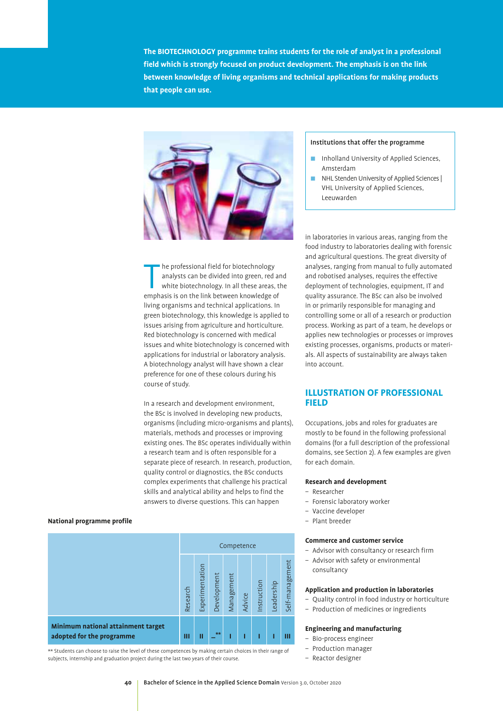**The BIOTECHNOLOGY programme trains students for the role of analyst in a professional field which is strongly focused on product development. The emphasis is on the link between knowledge of living organisms and technical applications for making products that people can use.** 



The professional field for biotechnology<br>
analysts can be divided into green, red an<br>
white biotechnology. In all these areas, t<br>
emphasis is on the link between knowledge of he professional field for biotechnology analysts can be divided into green, red and white biotechnology. In all these areas, the living organisms and technical applications. In green biotechnology, this knowledge is applied to issues arising from agriculture and horticulture. Red biotechnology is concerned with medical issues and white biotechnology is concerned with applications for industrial or laboratory analysis. A biotechnology analyst will have shown a clear preference for one of these colours during his course of study.

In a research and development environment, the BSc is involved in developing new products, organisms (including micro-organisms and plants), materials, methods and processes or improving existing ones. The BSc operates individually within a research team and is often responsible for a separate piece of research. In research, production, quality control or diagnostics, the BSc conducts complex experiments that challenge his practical skills and analytical ability and helps to find the answers to diverse questions. This can happen

#### **National programme profile**

|                                                                 | Competence |                 |             |            |        |             |            |                 |
|-----------------------------------------------------------------|------------|-----------------|-------------|------------|--------|-------------|------------|-----------------|
|                                                                 | Research   | Experimentation | Development | Management | Advice | Instruction | Leadership | Self-management |
| Minimum national attainment target<br>adopted for the programme | Ш          | π               | $**$        |            |        | П           |            | Ш               |

\*\* Students can choose to raise the level of these competences by making certain choices in their range of subjects, internship and graduation project during the last two years of their course.

#### Institutions that offer the programme

- Inholland University of Applied Sciences, Amsterdam
- : NHL Stenden University of Applied Sciences | VHL University of Applied Sciences, Leeuwarden

in laboratories in various areas, ranging from the food industry to laboratories dealing with forensic and agricultural questions. The great diversity of analyses, ranging from manual to fully automated and robotised analyses, requires the effective deployment of technologies, equipment, IT and quality assurance. The BSc can also be involved in or primarily responsible for managing and controlling some or all of a research or production process. Working as part of a team, he develops or applies new technologies or processes or improves existing processes, organisms, products or materials. All aspects of sustainability are always taken into account.

#### **ILLUSTRATION OF PROFESSIONAL FIELD**

Occupations, jobs and roles for graduates are mostly to be found in the following professional domains (for a full description of the professional domains, see Section 2). A few examples are given for each domain.

#### **Research and development**

- Researcher
- Forensic laboratory worker
- Vaccine developer
- Plant breeder

#### **Commerce and customer service**

- Advisor with consultancy or research firm
- Advisor with safety or environmental consultancy

#### **Application and production in laboratories**

- Quality control in food industry or horticulture
- Production of medicines or ingredients

#### **Engineering and manufacturing**

- Bio-process engineer
- Production manager
- Reactor designer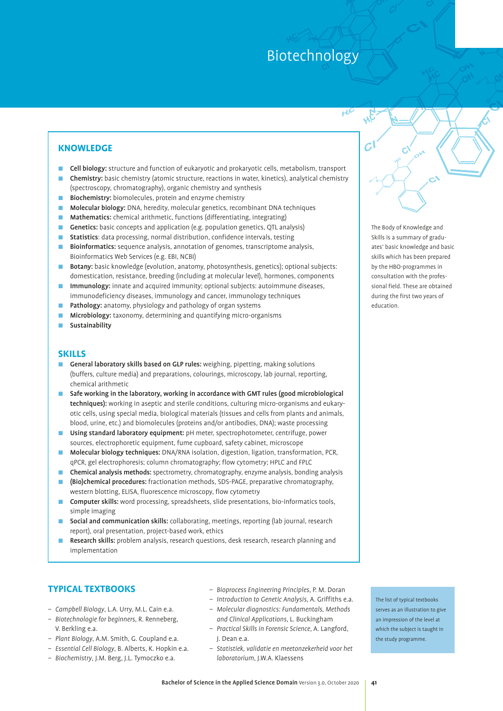#### **KNOWLEDGE**

- : Cell biology: structure and function of eukaryotic and prokaryotic cells, metabolism, transport
- : Chemistry: basic chemistry (atomic structure, reactions in water, kinetics), analytical chemistry (spectroscopy, chromatography), organic chemistry and synthesis
- **E** Biochemistry: biomolecules, protein and enzyme chemistry
- : Molecular biology: DNA, heredity, molecular genetics, recombinant DNA techniques
- Mathematics: chemical arithmetic, functions (differentiating, integrating)
- Genetics: basic concepts and application (e.g. population genetics, QTL analysis)
- **E** Statistics: data processing, normal distribution, confidence intervals, testing
- **E** Bioinformatics: sequence analysis, annotation of genomes, transcriptome analysis, Bioinformatics Web Services (e.g. EBI, NCBI)
- **Botany:** basic knowledge (evolution, anatomy, photosynthesis, genetics); optional subjects: domestication, resistance, breeding (including at molecular level), hormones, components
- **Immunology:** innate and acquired immunity; optional subjects: autoimmune diseases, immunodeficiency diseases, immunology and cancer, immunology techniques
- **E** Pathology: anatomy, physiology and pathology of organ systems
- Microbiology: taxonomy, determining and quantifying micro-organisms
- **Sustainability**

#### **SKILLS**

- **E** General laboratory skills based on GLP rules: weighing, pipetting, making solutions (buffers, culture media) and preparations, colourings, microscopy, lab journal, reporting, chemical arithmetic
- : Safe working in the laboratory, working in accordance with GMT rules (good microbiological techniques): working in aseptic and sterile conditions, culturing micro-organisms and eukaryotic cells, using special media, biological materials (tissues and cells from plants and animals, blood, urine, etc.) and biomolecules (proteins and/or antibodies, DNA); waste processing
- **Using standard laboratory equipment:** pH meter, spectrophotometer, centrifuge, power sources, electrophoretic equipment, fume cupboard, safety cabinet, microscope
- : Molecular biology techniques: DNA/RNA isolation, digestion, ligation, transformation, PCR, qPCR, gel electrophoresis; column chromatography; flow cytometry; HPLC and FPLC
- **Chemical analysis methods:** spectrometry, chromatography, enzyme analysis, bonding analysis
- : (Bio)chemical procedures: fractionation methods, SDS-PAGE, preparative chromatography, western blotting, ELISA, fluorescence microscopy, flow cytometry
- **Computer skills:** word processing, spreadsheets, slide presentations, bio-informatics tools, simple imaging
- **E** Social and communication skills: collaborating, meetings, reporting (lab journal, research report), oral presentation, project-based work, ethics
- **E** Research skills: problem analysis, research questions, desk research, research planning and implementation

#### **TYPICAL TEXTBOOKS**

- *Campbell Biology*, L.A. Urry, M.L. Cain e.a.
- *Biotechnologie for beginners*, R. Renneberg, V. Berkling e.a.
- *Plant Biology*, A.M. Smith, G. Coupland e.a.
- *Essential Cell Biology*, B. Alberts, K. Hopkin e.a.
- *Biochemistry*, J.M. Berg, J.L. Tymoczko e.a.
- *Bioprocess Engineering Principles*, P. M. Doran
- *Introduction to Genetic Analysis*, A. Griffiths e.a. – *Molecular diagnostics: Fundamentals, Methods*
- *and Clinical Applications*, L. Buckingham – *Practical Skills in Forensic Science*, A. Langford, J. Dean e.a.
- *Statistiek, validatie en meetonzekerheid voor het laboratorium*, J.W.A. Klaessens

The list of typical textbooks serves as an illustration to give an impression of the level at which the subject is taught in the study programme.

The Body of Knowledge and Skills is a summary of graduates' basic knowledge and basic skills which has been prepared by the HBO-programmes in consultation with the professional field. These are obtained during the first two years of education.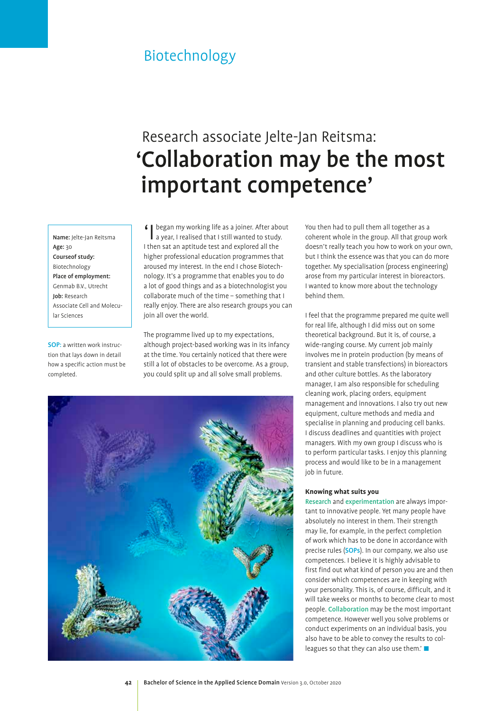## Research associate Jelte-Jan Reitsma: 'Collaboration may be the most important competence'

Name: Jelte-Jan Reitsma Age: 30 Courseof study: Biotechnology Place of employment: Genmab B.V., Utrecht Job: Research Associate Cell and Molecular Sciences

SOP: a written work instruction that lays down in detail how a specific action must be completed.

began my working life as a joiner. After about a year, I realised that I still wanted to study. I then sat an aptitude test and explored all the higher professional education programmes that aroused my interest. In the end I chose Biotechnology. It's a programme that enables you to do a lot of good things and as a biotechnologist you collaborate much of the time – something that I really enjoy. There are also research groups you can join all over the world.

The programme lived up to my expectations, although project-based working was in its infancy at the time. You certainly noticed that there were still a lot of obstacles to be overcome. As a group, you could split up and all solve small problems.



You then had to pull them all together as a coherent whole in the group. All that group work doesn't really teach you how to work on your own, but I think the essence was that you can do more together. My specialisation (process engineering) arose from my particular interest in bioreactors. I wanted to know more about the technology behind them.

I feel that the programme prepared me quite well for real life, although I did miss out on some theoretical background. But it is, of course, a wide-ranging course. My current job mainly involves me in protein production (by means of transient and stable transfections) in bioreactors and other culture bottles. As the laboratory manager, I am also responsible for scheduling cleaning work, placing orders, equipment management and innovations. I also try out new equipment, culture methods and media and specialise in planning and producing cell banks. I discuss deadlines and quantities with project managers. With my own group I discuss who is to perform particular tasks. I enjoy this planning process and would like to be in a management job in future.

#### **Knowing what suits you**

Research and experimentation are always important to innovative people. Yet many people have absolutely no interest in them. Their strength may lie, for example, in the perfect completion of work which has to be done in accordance with precise rules (SOPs). In our company, we also use competences. I believe it is highly advisable to first find out what kind of person you are and then consider which competences are in keeping with your personality. This is, of course, difficult, and it will take weeks or months to become clear to most people. Collaboration may be the most important competence. However well you solve problems or conduct experiments on an individual basis, you also have to be able to convey the results to colleagues so that they can also use them.'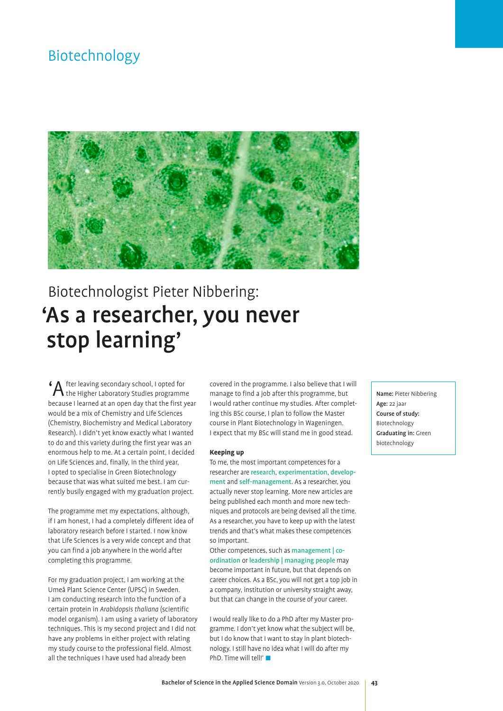

# Biotechnologist Pieter Nibbering: 'As a researcher, you never stop learning'

'After leaving secondary school, I opted for the Higher Laboratory Studies programme because I learned at an open day that the first year would be a mix of Chemistry and Life Sciences (Chemistry, Biochemistry and Medical Laboratory Research). I didn't yet know exactly what I wanted to do and this variety during the first year was an enormous help to me. At a certain point, I decided on Life Sciences and, finally, in the third year, I opted to specialise in Green Biotechnology because that was what suited me best. I am currently busily engaged with my graduation project.

The programme met my expectations, although, if I am honest, I had a completely different idea of laboratory research before I started. I now know that Life Sciences is a very wide concept and that you can find a job anywhere in the world after completing this programme.

For my graduation project, I am working at the Umeå Plant Science Center (UPSC) in Sweden. I am conducting research into the function of a certain protein in *Arabidopsis thaliana* (scientific model organism). I am using a variety of laboratory techniques. This is my second project and I did not have any problems in either project with relating my study course to the professional field. Almost all the techniques I have used had already been

covered in the programme. I also believe that I will manage to find a job after this programme, but I would rather continue my studies. After completing this BSc course, I plan to follow the Master course in Plant Biotechnology in Wageningen. I expect that my BSc will stand me in good stead.

#### **Keeping up**

To me, the most important competences for a researcher are research, experimentation, development and self-management. As a researcher, you actually never stop learning. More new articles are being published each month and more new techniques and protocols are being devised all the time. As a researcher, you have to keep up with the latest trends and that's what makes these competences so important.

Other competences, such as management | coordination or leadership | managing people may become important in future, but that depends on career choices. As a BSc, you will not get a top job in a company, institution or university straight away, but that can change in the course of your career.

I would really like to do a PhD after my Master programme. I don't yet know what the subject will be, but I do know that I want to stay in plant biotechnology. I still have no idea what I will do after my PhD. Time will tell!' $\blacksquare$ 

Name: Pieter Nibbering Age: 22 jaar Course of study: Biotechnology Graduating in: Green biotechnology